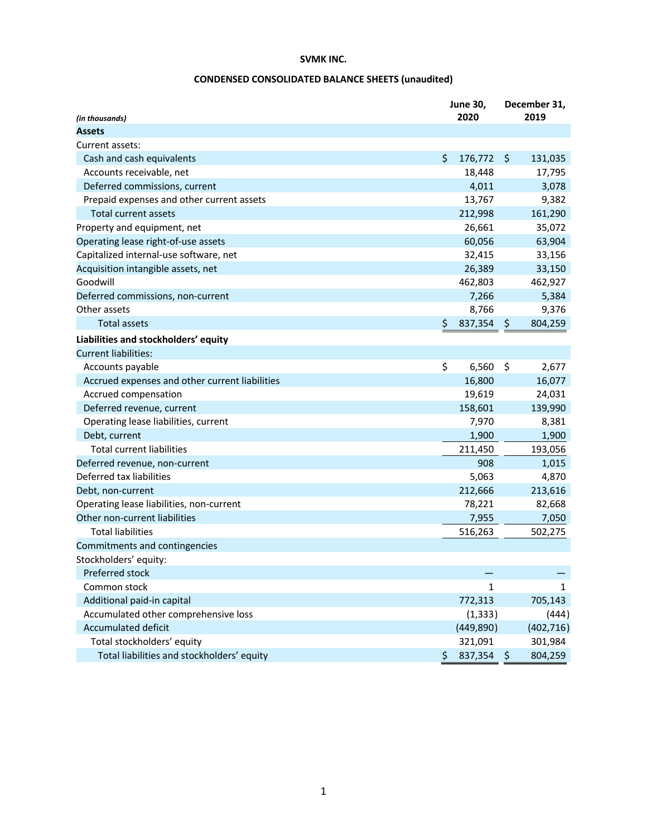# **CONDENSED CONSOLIDATED BALANCE SHEETS (unaudited)**

| (in thousands)                                 | <b>June 30,</b><br>2020 |         | December 31,<br>2019 |
|------------------------------------------------|-------------------------|---------|----------------------|
| <b>Assets</b>                                  |                         |         |                      |
| Current assets:                                |                         |         |                      |
| Cash and cash equivalents                      | \$<br>176,772           | $\zeta$ | 131,035              |
| Accounts receivable, net                       | 18,448                  |         | 17,795               |
| Deferred commissions, current                  | 4,011                   |         | 3,078                |
| Prepaid expenses and other current assets      | 13,767                  |         | 9,382                |
| Total current assets                           | 212,998                 |         | 161,290              |
| Property and equipment, net                    | 26,661                  |         | 35,072               |
| Operating lease right-of-use assets            | 60,056                  |         | 63,904               |
| Capitalized internal-use software, net         | 32,415                  |         | 33,156               |
| Acquisition intangible assets, net             | 26,389                  |         | 33,150               |
| Goodwill                                       | 462,803                 |         | 462,927              |
| Deferred commissions, non-current              | 7,266                   |         | 5,384                |
| Other assets                                   | 8,766                   |         | 9,376                |
| <b>Total assets</b>                            | \$<br>837,354           | \$      | 804,259              |
| Liabilities and stockholders' equity           |                         |         |                      |
| <b>Current liabilities:</b>                    |                         |         |                      |
| Accounts payable                               | \$<br>6,560             | \$      | 2,677                |
| Accrued expenses and other current liabilities | 16,800                  |         | 16,077               |
| Accrued compensation                           | 19,619                  |         | 24,031               |
| Deferred revenue, current                      | 158,601                 |         | 139,990              |
| Operating lease liabilities, current           | 7,970                   |         | 8,381                |
| Debt, current                                  | 1,900                   |         | 1,900                |
| <b>Total current liabilities</b>               | 211,450                 |         | 193,056              |
| Deferred revenue, non-current                  | 908                     |         | 1,015                |
| Deferred tax liabilities                       | 5,063                   |         | 4,870                |
| Debt, non-current                              | 212,666                 |         | 213,616              |
| Operating lease liabilities, non-current       | 78,221                  |         | 82,668               |
| Other non-current liabilities                  | 7,955                   |         | 7,050                |
| <b>Total liabilities</b>                       | 516,263                 |         | 502,275              |
| Commitments and contingencies                  |                         |         |                      |
| Stockholders' equity:                          |                         |         |                      |
| Preferred stock                                |                         |         |                      |
| Common stock                                   | $\mathbf{1}$            |         | $\mathbf{1}$         |
| Additional paid-in capital                     | 772,313                 |         | 705,143              |
| Accumulated other comprehensive loss           | (1, 333)                |         | (444)                |
| <b>Accumulated deficit</b>                     | (449,890)               |         | (402, 716)           |
| Total stockholders' equity                     | 321,091                 |         | 301,984              |
| Total liabilities and stockholders' equity     | \$<br>837,354           | \$      | 804,259              |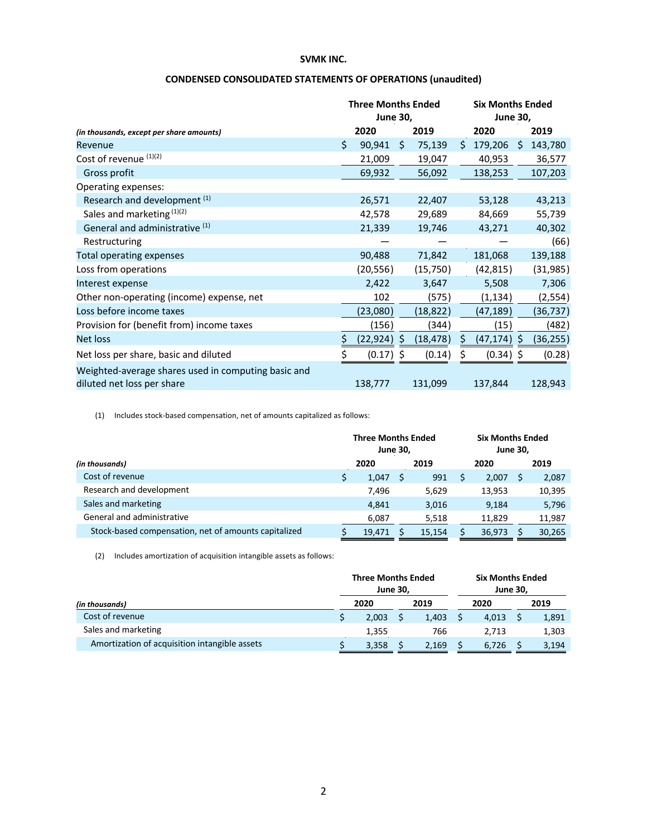|                                                                                   | <b>Three Months Ended</b><br><b>June 30,</b> |           |    |           |    | <b>Six Months Ended</b><br><b>June 30,</b> |    |           |
|-----------------------------------------------------------------------------------|----------------------------------------------|-----------|----|-----------|----|--------------------------------------------|----|-----------|
| (in thousands, except per share amounts)                                          |                                              | 2020      |    | 2019      |    | 2020                                       |    | 2019      |
| Revenue                                                                           | \$                                           | 90,941    | Ś. | 75,139    | Ŝ. | 179,206                                    | Ŝ. | 143,780   |
| Cost of revenue (1)(2)                                                            |                                              | 21,009    |    | 19,047    |    | 40,953                                     |    | 36,577    |
| Gross profit                                                                      |                                              | 69,932    |    | 56,092    |    | 138,253                                    |    | 107,203   |
| Operating expenses:                                                               |                                              |           |    |           |    |                                            |    |           |
| Research and development <sup>(1)</sup>                                           |                                              | 26,571    |    | 22,407    |    | 53,128                                     |    | 43,213    |
| Sales and marketing $(1)(2)$                                                      |                                              | 42,578    |    | 29,689    |    | 84,669                                     |    | 55,739    |
| General and administrative (1)                                                    |                                              | 21,339    |    | 19,746    |    | 43,271                                     |    | 40,302    |
| Restructuring                                                                     |                                              |           |    |           |    |                                            |    | (66)      |
| Total operating expenses                                                          |                                              | 90,488    |    | 71,842    |    | 181,068                                    |    | 139,188   |
| Loss from operations                                                              |                                              | (20,556)  |    | (15,750)  |    | (42,815)                                   |    | (31, 985) |
| Interest expense                                                                  |                                              | 2,422     |    | 3,647     |    | 5,508                                      |    | 7,306     |
| Other non-operating (income) expense, net                                         |                                              | 102       |    | (575)     |    | (1, 134)                                   |    | (2, 554)  |
| Loss before income taxes                                                          |                                              | (23,080)  |    | (18, 822) |    | (47, 189)                                  |    | (36,737)  |
| Provision for (benefit from) income taxes                                         |                                              | (156)     |    | (344)     |    | (15)                                       |    | (482)     |
| <b>Net loss</b>                                                                   | \$                                           | (22, 924) | S  | (18, 478) | \$ | (47, 174)                                  | S  | (36, 255) |
| Net loss per share, basic and diluted                                             |                                              | (0.17)    | S  | (0.14)    |    | (0.34)                                     | S  | (0.28)    |
| Weighted-average shares used in computing basic and<br>diluted net loss per share |                                              | 138,777   |    | 131,099   |    | 137,844                                    |    | 128,943   |

## **CONDENSED CONSOLIDATED STATEMENTS OF OPERATIONS (unaudited)**

(1) Includes stock-based compensation, net of amounts capitalized as follows:

|                                                      |      | <b>Three Months Ended</b><br><b>June 30,</b> |      |        |      | <b>Six Months Ended</b><br><b>June 30,</b> |  |        |
|------------------------------------------------------|------|----------------------------------------------|------|--------|------|--------------------------------------------|--|--------|
| (in thousands)                                       | 2020 |                                              | 2019 |        | 2020 |                                            |  | 2019   |
| Cost of revenue                                      | S    | 1,047                                        |      | 991    |      | 2,007                                      |  | 2,087  |
| Research and development                             |      | 7.496                                        |      | 5,629  |      | 13,953                                     |  | 10,395 |
| Sales and marketing                                  |      | 4.841                                        |      | 3,016  |      | 9,184                                      |  | 5,796  |
| General and administrative                           |      | 6,087                                        |      | 5,518  |      | 11,829                                     |  | 11,987 |
| Stock-based compensation, net of amounts capitalized |      | 19,471                                       |      | 15.154 |      | 36,973                                     |  | 30,265 |

(2) Includes amortization of acquisition intangible assets as follows:

|                                               | <b>Three Months Ended</b><br><b>June 30.</b> |       |      |       |      |       | <b>Six Months Ended</b><br><b>June 30,</b> |       |
|-----------------------------------------------|----------------------------------------------|-------|------|-------|------|-------|--------------------------------------------|-------|
| (in thousands)                                | 2020                                         |       | 2019 |       | 2020 |       | 2019                                       |       |
| Cost of revenue                               |                                              | 2,003 |      | 1.403 |      | 4,013 |                                            | 1,891 |
| Sales and marketing                           |                                              | 1,355 |      | 766   |      | 2.713 |                                            | 1,303 |
| Amortization of acquisition intangible assets |                                              | 3,358 |      | 2,169 |      | 6,726 |                                            | 3,194 |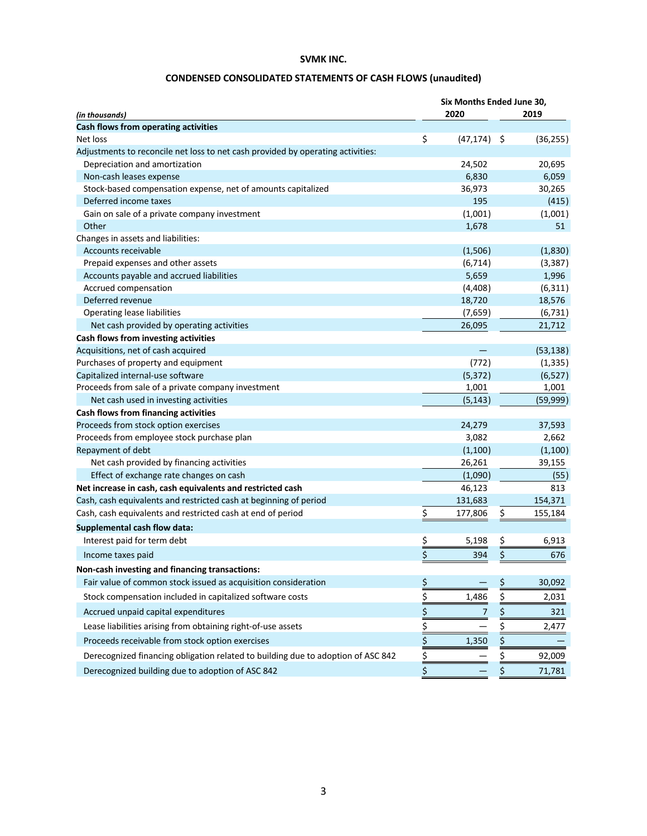# **CONDENSED CONSOLIDATED STATEMENTS OF CASH FLOWS (unaudited)**

|                                                                                  | Six Months Ended June 30, |           |     |           |  |  |  |  |  |  |  |  |
|----------------------------------------------------------------------------------|---------------------------|-----------|-----|-----------|--|--|--|--|--|--|--|--|
| (in thousands)                                                                   |                           | 2020      |     | 2019      |  |  |  |  |  |  |  |  |
| Cash flows from operating activities                                             |                           |           |     |           |  |  |  |  |  |  |  |  |
| Net loss                                                                         | \$                        | (47, 174) | -\$ | (36, 255) |  |  |  |  |  |  |  |  |
| Adjustments to reconcile net loss to net cash provided by operating activities:  |                           |           |     |           |  |  |  |  |  |  |  |  |
| Depreciation and amortization                                                    |                           | 24,502    |     | 20,695    |  |  |  |  |  |  |  |  |
| Non-cash leases expense                                                          |                           | 6,830     |     | 6,059     |  |  |  |  |  |  |  |  |
| Stock-based compensation expense, net of amounts capitalized                     |                           | 36,973    |     | 30,265    |  |  |  |  |  |  |  |  |
| Deferred income taxes                                                            |                           | 195       |     | (415)     |  |  |  |  |  |  |  |  |
| Gain on sale of a private company investment                                     |                           | (1,001)   |     | (1,001)   |  |  |  |  |  |  |  |  |
| Other                                                                            |                           | 1,678     |     | 51        |  |  |  |  |  |  |  |  |
| Changes in assets and liabilities:                                               |                           |           |     |           |  |  |  |  |  |  |  |  |
| Accounts receivable                                                              |                           | (1,506)   |     | (1,830)   |  |  |  |  |  |  |  |  |
| Prepaid expenses and other assets                                                |                           | (6, 714)  |     | (3, 387)  |  |  |  |  |  |  |  |  |
| Accounts payable and accrued liabilities                                         |                           | 5,659     |     | 1,996     |  |  |  |  |  |  |  |  |
| Accrued compensation                                                             |                           | (4,408)   |     | (6, 311)  |  |  |  |  |  |  |  |  |
| Deferred revenue                                                                 |                           | 18,720    |     | 18,576    |  |  |  |  |  |  |  |  |
| Operating lease liabilities                                                      |                           | (7,659)   |     | (6, 731)  |  |  |  |  |  |  |  |  |
| Net cash provided by operating activities                                        |                           | 26,095    |     | 21,712    |  |  |  |  |  |  |  |  |
| Cash flows from investing activities                                             |                           |           |     |           |  |  |  |  |  |  |  |  |
| Acquisitions, net of cash acquired                                               |                           |           |     | (53, 138) |  |  |  |  |  |  |  |  |
| Purchases of property and equipment                                              |                           | (772)     |     | (1, 335)  |  |  |  |  |  |  |  |  |
| Capitalized internal-use software                                                |                           | (5, 372)  |     | (6, 527)  |  |  |  |  |  |  |  |  |
| Proceeds from sale of a private company investment                               |                           | 1,001     |     | 1,001     |  |  |  |  |  |  |  |  |
| Net cash used in investing activities                                            |                           | (5, 143)  |     | (59, 999) |  |  |  |  |  |  |  |  |
| Cash flows from financing activities                                             |                           |           |     |           |  |  |  |  |  |  |  |  |
| Proceeds from stock option exercises                                             |                           | 24,279    |     | 37,593    |  |  |  |  |  |  |  |  |
| Proceeds from employee stock purchase plan                                       |                           | 3,082     |     | 2,662     |  |  |  |  |  |  |  |  |
| Repayment of debt                                                                |                           | (1,100)   |     | (1, 100)  |  |  |  |  |  |  |  |  |
| Net cash provided by financing activities                                        |                           | 26,261    |     | 39,155    |  |  |  |  |  |  |  |  |
| Effect of exchange rate changes on cash                                          |                           | (1,090)   |     | (55)      |  |  |  |  |  |  |  |  |
| Net increase in cash, cash equivalents and restricted cash                       |                           | 46,123    |     | 813       |  |  |  |  |  |  |  |  |
| Cash, cash equivalents and restricted cash at beginning of period                |                           | 131,683   |     | 154,371   |  |  |  |  |  |  |  |  |
| Cash, cash equivalents and restricted cash at end of period                      | \$                        | 177,806   | \$  | 155,184   |  |  |  |  |  |  |  |  |
| Supplemental cash flow data:                                                     |                           |           |     |           |  |  |  |  |  |  |  |  |
| Interest paid for term debt                                                      | <u>\$</u>                 | 5,198     | \$  | 6,913     |  |  |  |  |  |  |  |  |
| Income taxes paid                                                                | \$                        | 394       | \$  | 676       |  |  |  |  |  |  |  |  |
| Non-cash investing and financing transactions:                                   |                           |           |     |           |  |  |  |  |  |  |  |  |
| Fair value of common stock issued as acquisition consideration                   | \$                        |           | \$  | 30,092    |  |  |  |  |  |  |  |  |
| Stock compensation included in capitalized software costs                        | \$                        | 1,486     | \$  | 2,031     |  |  |  |  |  |  |  |  |
| Accrued unpaid capital expenditures                                              | \$                        | 7         | \$  | 321       |  |  |  |  |  |  |  |  |
| Lease liabilities arising from obtaining right-of-use assets                     | \$                        |           | \$  | 2,477     |  |  |  |  |  |  |  |  |
| Proceeds receivable from stock option exercises                                  | \$                        | 1,350     | \$  |           |  |  |  |  |  |  |  |  |
| Derecognized financing obligation related to building due to adoption of ASC 842 | $\frac{1}{2}$             |           | \$  | 92,009    |  |  |  |  |  |  |  |  |
| Derecognized building due to adoption of ASC 842                                 | \$                        |           | \$  | 71,781    |  |  |  |  |  |  |  |  |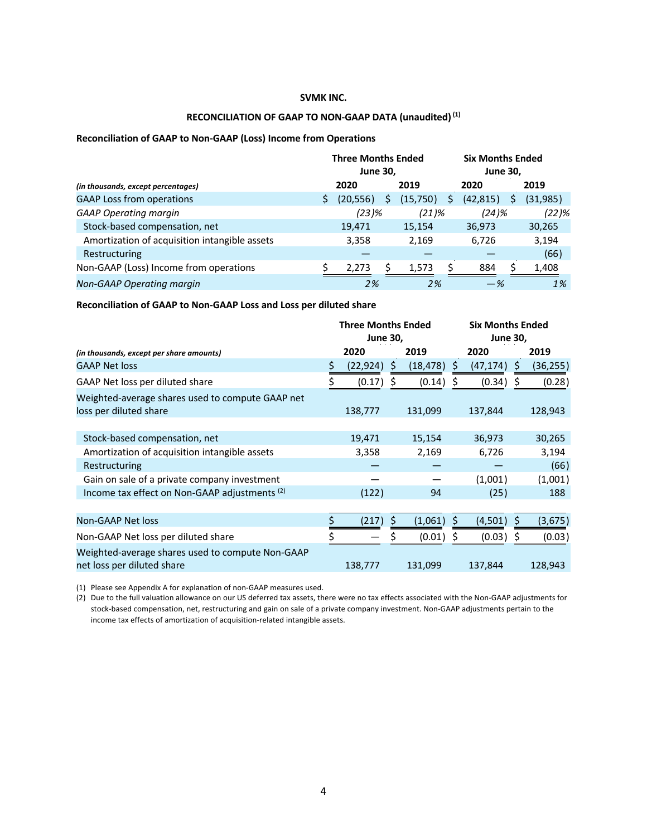## **RECONCILIATION OF GAAP TO NON-GAAP DATA (unaudited)(1)**

#### **Reconciliation of GAAP to Non-GAAP (Loss) Income from Operations**

|                                               | <b>Three Months Ended</b><br><b>June 30,</b> |           |   |          |  |           | <b>June 30,</b> | <b>Six Months Ended</b> |
|-----------------------------------------------|----------------------------------------------|-----------|---|----------|--|-----------|-----------------|-------------------------|
| (in thousands, except percentages)            |                                              | 2020      |   | 2019     |  | 2020      |                 | 2019                    |
| <b>GAAP Loss from operations</b>              |                                              | (20, 556) | S | (15,750) |  | (42, 815) | S               | (31,985)                |
| <b>GAAP Operating margin</b>                  |                                              | (23)%     |   | $(21)$ % |  | $(24)$ %  |                 | (22)%                   |
| Stock-based compensation, net                 |                                              | 19,471    |   | 15,154   |  | 36,973    |                 | 30,265                  |
| Amortization of acquisition intangible assets |                                              | 3,358     |   | 2,169    |  | 6,726     |                 | 3,194                   |
| Restructuring                                 |                                              |           |   |          |  |           |                 | (66)                    |
| Non-GAAP (Loss) Income from operations        |                                              | 2,273     |   | 1,573    |  | 884       | ς               | 1,408                   |
| Non-GAAP Operating margin                     |                                              | 2%        |   | 2%       |  | $-$ %     |                 | 1%                      |

#### **Reconciliation of GAAP to Non-GAAP Loss and Loss per diluted share**

|                                                                                |      | <b>Three Months Ended</b><br><b>June 30,</b> |      |           |     | <b>Six Months Ended</b><br><b>June 30,</b> |    |           |
|--------------------------------------------------------------------------------|------|----------------------------------------------|------|-----------|-----|--------------------------------------------|----|-----------|
| (in thousands, except per share amounts)                                       | 2020 |                                              | 2019 |           |     | 2020                                       |    | 2019      |
| <b>GAAP Net loss</b>                                                           | \$   | (22, 924)                                    | \$   | (18, 478) | \$  | (47,174)                                   | \$ | (36, 255) |
| GAAP Net loss per diluted share                                                |      | (0.17)                                       | S    | (0.14)    |     | (0.34)                                     | S  | (0.28)    |
| Weighted-average shares used to compute GAAP net                               |      |                                              |      |           |     |                                            |    |           |
| loss per diluted share                                                         |      | 138,777                                      |      | 131,099   |     | 137,844                                    |    | 128,943   |
|                                                                                |      |                                              |      |           |     |                                            |    |           |
| Stock-based compensation, net                                                  |      | 19,471                                       |      | 15,154    |     | 36,973                                     |    | 30,265    |
| Amortization of acquisition intangible assets                                  |      | 3,358                                        |      | 2,169     |     | 6,726                                      |    | 3,194     |
| Restructuring                                                                  |      |                                              |      |           |     |                                            |    | (66)      |
| Gain on sale of a private company investment                                   |      |                                              |      |           |     | (1,001)                                    |    | (1,001)   |
| Income tax effect on Non-GAAP adjustments (2)                                  |      | (122)                                        |      | 94        |     | (25)                                       |    | 188       |
|                                                                                |      |                                              |      |           |     |                                            |    |           |
| Non-GAAP Net loss                                                              |      | (217)                                        | \$   | (1,061)   | \$. | (4,501)                                    | S  | (3,675)   |
| Non-GAAP Net loss per diluted share                                            |      |                                              |      | (0.01)    |     | (0.03)                                     |    | (0.03)    |
| Weighted-average shares used to compute Non-GAAP<br>net loss per diluted share |      | 138,777                                      |      | 131,099   |     | 137,844                                    |    | 128,943   |

(1) Please see Appendix A for explanation of non-GAAP measures used.

(2) Due to the full valuation allowance on our US deferred tax assets, there were no tax effects associated with the Non-GAAP adjustments for stock-based compensation, net, restructuring and gain on sale of a private company investment. Non-GAAP adjustments pertain to the income tax effects of amortization of acquisition-related intangible assets.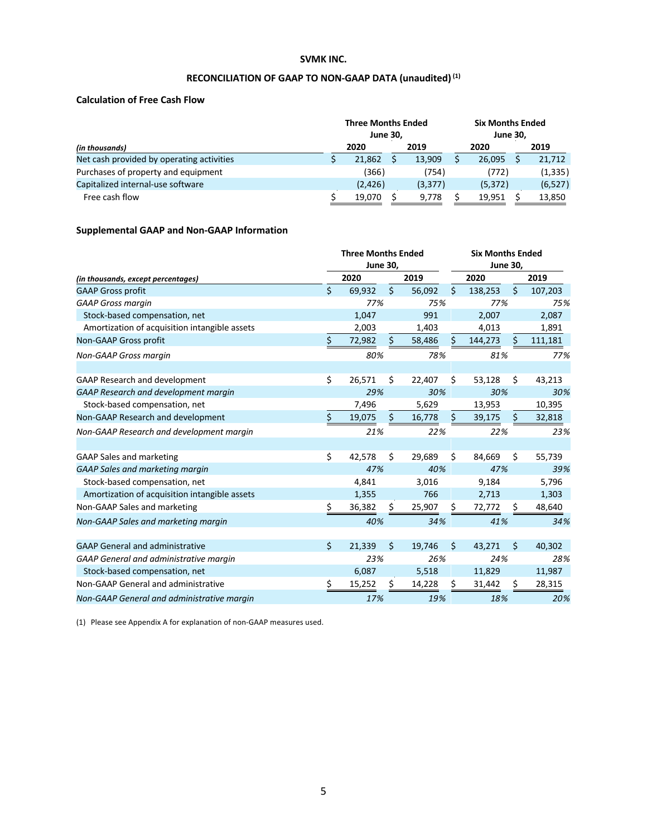# **RECONCILIATION OF GAAP TO NON-GAAP DATA (unaudited)(1)**

## **Calculation of Free Cash Flow**

|                                           |  | <b>Three Months Ended</b><br><b>June 30.</b> |         |  | <b>Six Months Ended</b><br><b>June 30.</b> |  |          |
|-------------------------------------------|--|----------------------------------------------|---------|--|--------------------------------------------|--|----------|
| (in thousands)                            |  | 2020                                         | 2019    |  | 2020                                       |  | 2019     |
| Net cash provided by operating activities |  | 21.862                                       | 13.909  |  | 26.095                                     |  | 21,712   |
| Purchases of property and equipment       |  | (366)                                        | (754)   |  | (772)                                      |  | (1, 335) |
| Capitalized internal-use software         |  | (2, 426)                                     | (3,377) |  | (5, 372)                                   |  | (6, 527) |
| Free cash flow                            |  | 19.070                                       | 9,778   |  | 19.951                                     |  | 13,850   |

## **Supplemental GAAP and Non-GAAP Information**

|                                               |      | <b>Three Months Ended</b><br><b>June 30,</b> |    |        | <b>Six Months Ended</b><br><b>June 30,</b> |         |                    |         |  |
|-----------------------------------------------|------|----------------------------------------------|----|--------|--------------------------------------------|---------|--------------------|---------|--|
| (in thousands, except percentages)            | 2020 |                                              |    |        |                                            | 2020    |                    | 2019    |  |
| <b>GAAP Gross profit</b>                      | \$   | 69.932                                       | \$ | 56,092 | Ŝ.                                         | 138,253 | Ś.                 | 107,203 |  |
| <b>GAAP Gross margin</b>                      |      | 77%                                          |    | 75%    |                                            | 77%     |                    | 75%     |  |
| Stock-based compensation, net                 |      | 1.047                                        |    | 991    |                                            | 2,007   |                    | 2,087   |  |
| Amortization of acquisition intangible assets |      | 2,003                                        |    | 1,403  |                                            | 4,013   |                    | 1,891   |  |
| Non-GAAP Gross profit                         | \$   | 72,982                                       | \$ | 58,486 | Ŝ.                                         | 144,273 | Ś                  | 111,181 |  |
| Non-GAAP Gross margin                         |      | 80%                                          |    | 78%    |                                            | 81%     |                    | 77%     |  |
| <b>GAAP Research and development</b>          | \$   | 26,571                                       | Ś. | 22,407 | Ś.                                         | 53,128  | Ś.                 | 43,213  |  |
| GAAP Research and development margin          |      | 29%                                          |    | 30%    |                                            | 30%     |                    | 30%     |  |
| Stock-based compensation, net                 |      | 7,496                                        |    | 5,629  |                                            | 13,953  |                    | 10,395  |  |
| Non-GAAP Research and development             | \$   | 19,075                                       | \$ | 16,778 | Ŝ.                                         | 39,175  | S                  | 32,818  |  |
| Non-GAAP Research and development margin      |      | 21%                                          |    | 22%    |                                            | 22%     |                    | 23%     |  |
| <b>GAAP Sales and marketing</b>               | \$   | 42,578                                       | Ś  | 29,689 | \$                                         | 84,669  | \$                 | 55,739  |  |
| <b>GAAP Sales and marketing margin</b>        |      | 47%                                          |    | 40%    |                                            | 47%     |                    | 39%     |  |
| Stock-based compensation, net                 |      | 4,841                                        |    | 3,016  |                                            | 9,184   |                    | 5,796   |  |
| Amortization of acquisition intangible assets |      | 1,355                                        |    | 766    |                                            | 2,713   |                    | 1,303   |  |
| Non-GAAP Sales and marketing                  | \$   | 36,382                                       | \$ | 25,907 | \$                                         | 72,772  | \$                 | 48,640  |  |
| Non-GAAP Sales and marketing margin           |      | 40%                                          |    | 34%    |                                            | 41%     |                    | 34%     |  |
| <b>GAAP General and administrative</b>        | \$   | 21,339                                       | \$ | 19,746 | Ś.                                         | 43,271  | $\mathsf{\hat{S}}$ | 40,302  |  |
| GAAP General and administrative margin        |      | 23%                                          |    | 26%    |                                            | 24%     |                    | 28%     |  |
| Stock-based compensation, net                 |      | 6,087                                        |    | 5,518  |                                            | 11,829  |                    | 11,987  |  |
| Non-GAAP General and administrative           | \$   | 15,252                                       | \$ | 14,228 | \$                                         | 31,442  | \$                 | 28,315  |  |
| Non-GAAP General and administrative margin    |      | 17%                                          |    | 19%    |                                            | 18%     |                    | 20%     |  |

(1) Please see Appendix A for explanation of non-GAAP measures used.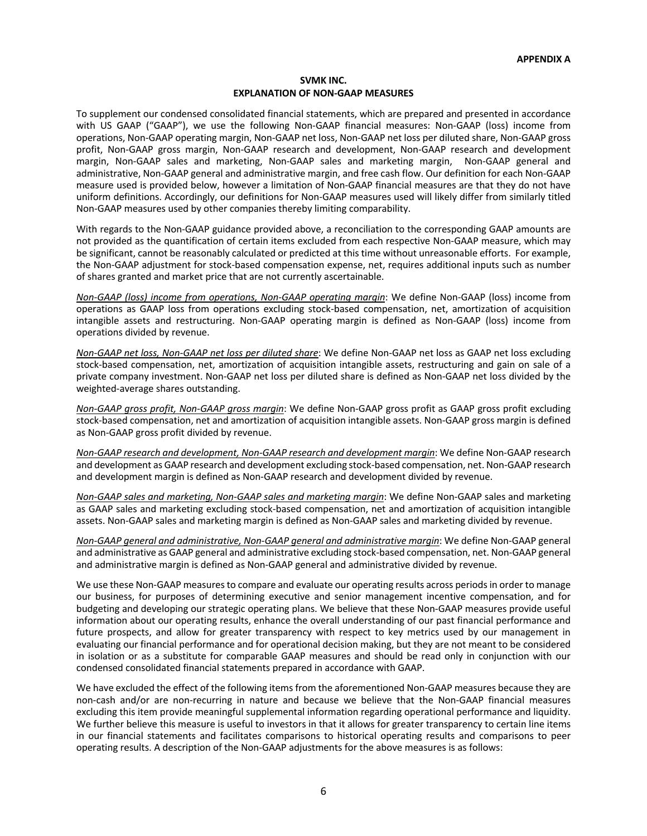#### **SVMK INC. EXPLANATION OF NON-GAAP MEASURES**

To supplement our condensed consolidated financial statements, which are prepared and presented in accordance with US GAAP ("GAAP"), we use the following Non-GAAP financial measures: Non-GAAP (loss) income from operations, Non-GAAP operating margin, Non-GAAP net loss, Non-GAAP net loss per diluted share, Non-GAAP gross profit, Non-GAAP gross margin, Non-GAAP research and development, Non-GAAP research and development margin, Non-GAAP sales and marketing, Non-GAAP sales and marketing margin, Non-GAAP general and administrative, Non-GAAP general and administrative margin, and free cash flow. Our definition for each Non-GAAP measure used is provided below, however a limitation of Non-GAAP financial measures are that they do not have uniform definitions. Accordingly, our definitions for Non-GAAP measures used will likely differ from similarly titled Non-GAAP measures used by other companies thereby limiting comparability.

With regards to the Non-GAAP guidance provided above, a reconciliation to the corresponding GAAP amounts are not provided as the quantification of certain items excluded from each respective Non-GAAP measure, which may be significant, cannot be reasonably calculated or predicted at this time without unreasonable efforts. For example, the Non-GAAP adjustment for stock-based compensation expense, net, requires additional inputs such as number of shares granted and market price that are not currently ascertainable.

*Non-GAAP (loss) income from operations, Non-GAAP operating margin*: We define Non-GAAP (loss) income from operations as GAAP loss from operations excluding stock-based compensation, net, amortization of acquisition intangible assets and restructuring. Non-GAAP operating margin is defined as Non-GAAP (loss) income from operations divided by revenue.

*Non-GAAP net loss, Non-GAAP net loss per diluted share*: We define Non-GAAP net loss as GAAP net loss excluding stock-based compensation, net, amortization of acquisition intangible assets, restructuring and gain on sale of a private company investment. Non-GAAP net loss per diluted share is defined as Non-GAAP net loss divided by the weighted-average shares outstanding.

*Non-GAAP gross profit, Non-GAAP gross margin*: We define Non-GAAP gross profit as GAAP gross profit excluding stock-based compensation, net and amortization of acquisition intangible assets. Non-GAAP gross margin is defined as Non-GAAP gross profit divided by revenue.

*Non-GAAP research and development, Non-GAAP research and development margin*: We define Non-GAAP research and development as GAAP research and development excluding stock-based compensation, net. Non-GAAP research and development margin is defined as Non-GAAP research and development divided by revenue.

*Non-GAAP sales and marketing, Non-GAAP sales and marketing margin*: We define Non-GAAP sales and marketing as GAAP sales and marketing excluding stock-based compensation, net and amortization of acquisition intangible assets. Non-GAAP sales and marketing margin is defined as Non-GAAP sales and marketing divided by revenue.

*Non-GAAP general and administrative, Non-GAAP general and administrative margin*: We define Non-GAAP general and administrative as GAAP general and administrative excluding stock-based compensation, net. Non-GAAP general and administrative margin is defined as Non-GAAP general and administrative divided by revenue.

We use these Non-GAAP measures to compare and evaluate our operating results across periods in order to manage our business, for purposes of determining executive and senior management incentive compensation, and for budgeting and developing our strategic operating plans. We believe that these Non-GAAP measures provide useful information about our operating results, enhance the overall understanding of our past financial performance and future prospects, and allow for greater transparency with respect to key metrics used by our management in evaluating our financial performance and for operational decision making, but they are not meant to be considered in isolation or as a substitute for comparable GAAP measures and should be read only in conjunction with our condensed consolidated financial statements prepared in accordance with GAAP.

We have excluded the effect of the following items from the aforementioned Non-GAAP measures because they are non-cash and/or are non-recurring in nature and because we believe that the Non-GAAP financial measures excluding this item provide meaningful supplemental information regarding operational performance and liquidity. We further believe this measure is useful to investors in that it allows for greater transparency to certain line items in our financial statements and facilitates comparisons to historical operating results and comparisons to peer operating results. A description of the Non-GAAP adjustments for the above measures is as follows: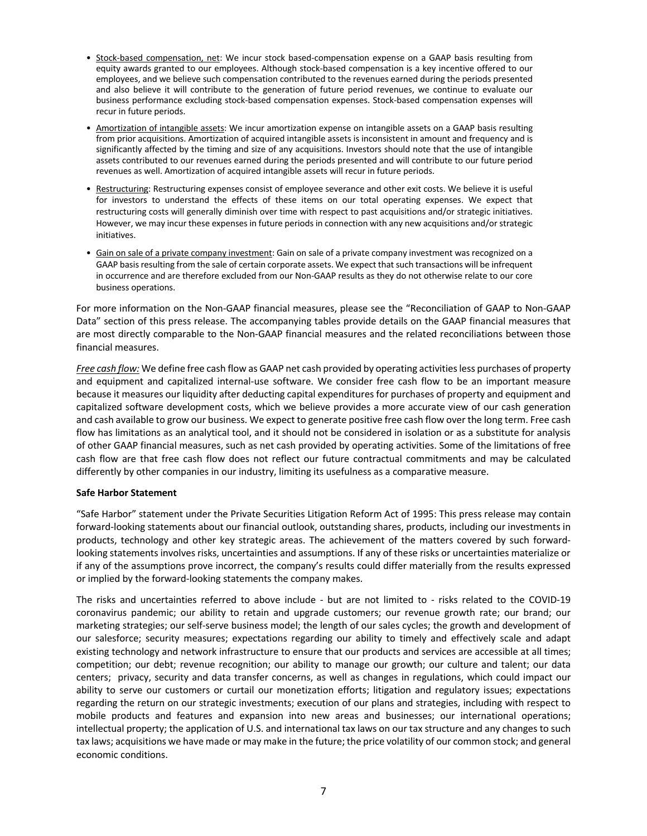- Stock-based compensation, net: We incur stock based-compensation expense on a GAAP basis resulting from equity awards granted to our employees. Although stock-based compensation is a key incentive offered to our employees, and we believe such compensation contributed to the revenues earned during the periods presented and also believe it will contribute to the generation of future period revenues, we continue to evaluate our business performance excluding stock-based compensation expenses. Stock-based compensation expenses will recur in future periods.
- Amortization of intangible assets: We incur amortization expense on intangible assets on a GAAP basis resulting from prior acquisitions. Amortization of acquired intangible assets is inconsistent in amount and frequency and is significantly affected by the timing and size of any acquisitions. Investors should note that the use of intangible assets contributed to our revenues earned during the periods presented and will contribute to our future period revenues as well. Amortization of acquired intangible assets will recur in future periods.
- Restructuring: Restructuring expenses consist of employee severance and other exit costs. We believe it is useful for investors to understand the effects of these items on our total operating expenses. We expect that restructuring costs will generally diminish over time with respect to past acquisitions and/or strategic initiatives. However, we may incur these expenses in future periods in connection with any new acquisitions and/or strategic initiatives.
- Gain on sale of a private company investment: Gain on sale of a private company investment was recognized on a GAAP basis resulting from the sale of certain corporate assets. We expect that such transactions will be infrequent in occurrence and are therefore excluded from our Non-GAAP results as they do not otherwise relate to our core business operations.

For more information on the Non-GAAP financial measures, please see the "Reconciliation of GAAP to Non-GAAP Data" section of this press release. The accompanying tables provide details on the GAAP financial measures that are most directly comparable to the Non-GAAP financial measures and the related reconciliations between those financial measures.

*Free cash flow:* We define free cash flow as GAAP net cash provided by operating activities less purchases of property and equipment and capitalized internal-use software. We consider free cash flow to be an important measure because it measures our liquidity after deducting capital expenditures for purchases of property and equipment and capitalized software development costs, which we believe provides a more accurate view of our cash generation and cash available to grow our business. We expect to generate positive free cash flow over the long term. Free cash flow has limitations as an analytical tool, and it should not be considered in isolation or as a substitute for analysis of other GAAP financial measures, such as net cash provided by operating activities. Some of the limitations of free cash flow are that free cash flow does not reflect our future contractual commitments and may be calculated differently by other companies in our industry, limiting its usefulness as a comparative measure.

### **Safe Harbor Statement**

"Safe Harbor" statement under the Private Securities Litigation Reform Act of 1995: This press release may contain forward-looking statements about our financial outlook, outstanding shares, products, including our investments in products, technology and other key strategic areas. The achievement of the matters covered by such forwardlooking statements involves risks, uncertainties and assumptions. If any of these risks or uncertainties materialize or if any of the assumptions prove incorrect, the company's results could differ materially from the results expressed or implied by the forward-looking statements the company makes.

The risks and uncertainties referred to above include - but are not limited to - risks related to the COVID-19 coronavirus pandemic; our ability to retain and upgrade customers; our revenue growth rate; our brand; our marketing strategies; our self-serve business model; the length of our sales cycles; the growth and development of our salesforce; security measures; expectations regarding our ability to timely and effectively scale and adapt existing technology and network infrastructure to ensure that our products and services are accessible at all times; competition; our debt; revenue recognition; our ability to manage our growth; our culture and talent; our data centers; privacy, security and data transfer concerns, as well as changes in regulations, which could impact our ability to serve our customers or curtail our monetization efforts; litigation and regulatory issues; expectations regarding the return on our strategic investments; execution of our plans and strategies, including with respect to mobile products and features and expansion into new areas and businesses; our international operations; intellectual property; the application of U.S. and international tax laws on our tax structure and any changes to such tax laws; acquisitions we have made or may make in the future; the price volatility of our common stock; and general economic conditions.